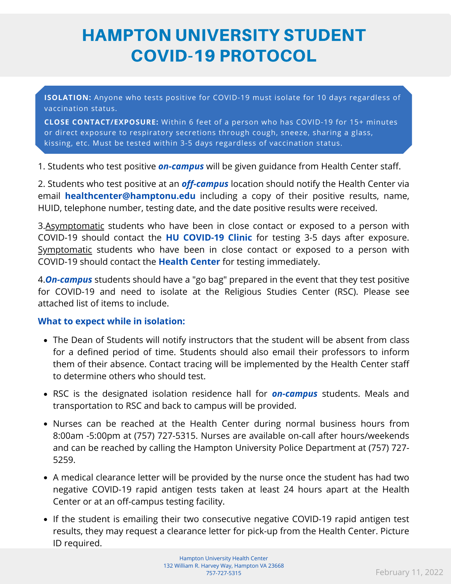## HAMPTON UNIVERSITY STUDENT COVID-19 PROTOCOL

**ISOLATION:** Anyone who tests positive for COVID-19 must isolate for 10 days regardless of vaccination status.

**CLOSE CONTACT/EXPOSURE:** Within 6 feet of a person who has COVID-19 for 15+ minutes or direct exposure to respiratory secretions through cough, sneeze, sharing a glass, kissing, etc. Must be tested within 3-5 days regardless of vaccination status.

1. Students who test positive *on-campus* will be given guidance from Health Center staff.

2. Students who test positive at an *off-campus* location should notify the Health Center via email **healthcenter@hamptonu.edu** including a copy of their positive results, name, HUID, telephone number, testing date, and the date positive results were received.

3.Asymptomatic students who have been in close contact or exposed to a person with COVID-19 should contact the **HU COVID-19 Clinic** for testing 3-5 days after exposure. Symptomatic students who have been in close contact or exposed to a person with COVID-19 should contact the **Health Center** for testing immediately.

4.*On-campus* students should have a "go bag" prepared in the event that they test positive for COVID-19 and need to isolate at the Religious Studies Center (RSC). Please see attached list of items to include.

## **What to expect while in isolation:**

- The Dean of Students will notify instructors that the student will be absent from class for a defined period of time. Students should also email their professors to inform them of their absence. Contact tracing will be implemented by the Health Center staff to determine others who should test.
- RSC is the designated isolation residence hall for *on-campus* students. Meals and transportation to RSC and back to campus will be provided.
- Nurses can be reached at the Health Center during normal business hours from 8:00am -5:00pm at (757) 727-5315. Nurses are available on-call after hours/weekends and can be reached by calling the Hampton University Police Department at (757) 727- 5259.
- A medical clearance letter will be provided by the nurse once the student has had two negative COVID-19 rapid antigen tests taken at least 24 hours apart at the Health Center or at an off-campus testing facility.
- If the student is emailing their two consecutive negative COVID-19 rapid antigen test results, they may request a clearance letter for pick-up from the Health Center. Picture ID required.